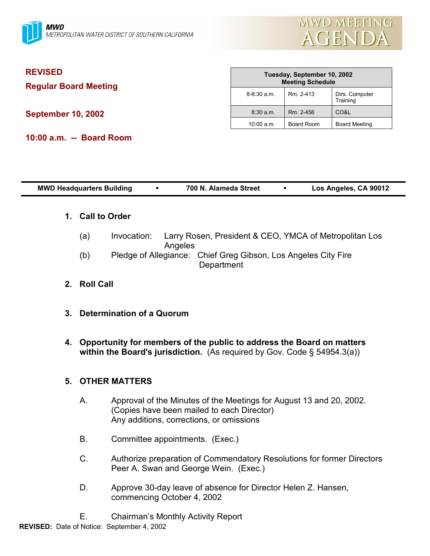

| <b>REVISED</b><br><b>Regular Board Meeting</b> | Tuesday, September 10, 2002<br><b>Meeting Schedule</b> |            |                            |  |
|------------------------------------------------|--------------------------------------------------------|------------|----------------------------|--|
|                                                | $8 - 8:30$ a.m.                                        | Rm. 2-413  | Dirs. Computer<br>Training |  |
| <b>September 10, 2002</b>                      | $8:30$ a.m.                                            | Rm. 2-456  | CO&L                       |  |
|                                                | $10:00$ a.m.                                           | Board Room | Board Meeting              |  |
| 10:00 a.m. -- Board Room                       |                                                        |            |                            |  |

| <b>MWD Headquarters Building</b> |                      |             | $\bullet$ | 700 N. Alameda Street                                                        | $\bullet$ | Los Angeles, CA 90012 |  |
|----------------------------------|----------------------|-------------|-----------|------------------------------------------------------------------------------|-----------|-----------------------|--|
| 1.                               | <b>Call to Order</b> |             |           |                                                                              |           |                       |  |
|                                  | (a)                  | Invocation: | Angeles   | Larry Rosen, President & CEO, YMCA of Metropolitan Los                       |           |                       |  |
|                                  | (b)                  |             |           | Pledge of Allegiance: Chief Greg Gibson, Los Angeles City Fire<br>Department |           |                       |  |
| $2_{-}$                          | <b>Roll Call</b>     |             |           |                                                                              |           |                       |  |

- **3. Determination of a Quorum**
- **4. Opportunity for members of the public to address the Board on matters within the Board's jurisdiction.** (As required by Gov. Code § 54954.3(a))

# **5. OTHER MATTERS**

- A. Approval of the Minutes of the Meetings for August 13 and 20, 2002. (Copies have been mailed to each Director) Any additions, corrections, or omissions
- B. Committee appointments. (Exec.)
- C. Authorize preparation of Commendatory Resolutions for former Directors Peer A. Swan and George Wein. (Exec.)
- D. Approve 30-day leave of absence for Director Helen Z. Hansen, commencing October 4, 2002

**REVISED:** Date of Notice: September 4, 2002 E. Chairmanís Monthly Activity Report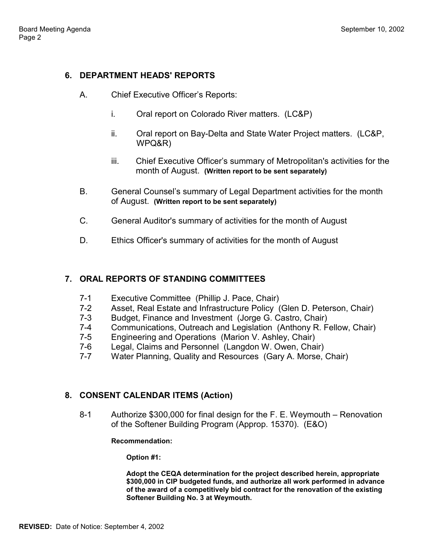## **6. DEPARTMENT HEADS' REPORTS**

- A. Chief Executive Officerís Reports:
	- i. Oral report on Colorado River matters. (LC&P)
	- ii. Oral report on Bay-Delta and State Water Project matters. (LC&P, WPQ&R)
	- iii. Chief Executive Officerís summary of Metropolitan's activities for the month of August. **(Written report to be sent separately)**
- B. General Counsel's summary of Legal Department activities for the month of August. **(Written report to be sent separately)**
- C. General Auditor's summary of activities for the month of August
- D. Ethics Officer's summary of activities for the month of August

# **7. ORAL REPORTS OF STANDING COMMITTEES**

- 7-1 Executive Committee (Phillip J. Pace, Chair)
- 7-2 Asset, Real Estate and Infrastructure Policy (Glen D. Peterson, Chair)
- 7-3 Budget, Finance and Investment (Jorge G. Castro, Chair)
- 7-4 Communications, Outreach and Legislation (Anthony R. Fellow, Chair)
- 7-5 Engineering and Operations (Marion V. Ashley, Chair)
- 7-6 Legal, Claims and Personnel (Langdon W. Owen, Chair)
- 7-7 Water Planning, Quality and Resources (Gary A. Morse, Chair)

# **8. CONSENT CALENDAR ITEMS (Action)**

8-1 Authorize \$300,000 for final design for the F. E. Weymouth – Renovation of the Softener Building Program (Approp. 15370). (E&O)

### **Recommendation:**

**Option #1:**

**Adopt the CEQA determination for the project described herein, appropriate \$300,000 in CIP budgeted funds, and authorize all work performed in advance of the award of a competitively bid contract for the renovation of the existing Softener Building No. 3 at Weymouth.**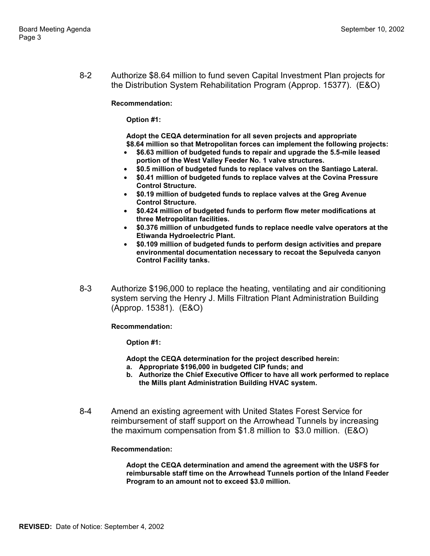8-2 Authorize \$8.64 million to fund seven Capital Investment Plan projects for the Distribution System Rehabilitation Program (Approp. 15377). (E&O)

**Recommendation:**

**Option #1:**

**Adopt the CEQA determination for all seven projects and appropriate \$8.64 million so that Metropolitan forces can implement the following projects:**

- **\$6.63 million of budgeted funds to repair and upgrade the 5.5-mile leased portion of the West Valley Feeder No. 1 valve structures.**
- **\$0.5 million of budgeted funds to replace valves on the Santiago Lateral.**
- **\$0.41 million of budgeted funds to replace valves at the Covina Pressure Control Structure.**
- **\$0.19 million of budgeted funds to replace valves at the Greg Avenue Control Structure.**
- **\$0.424 million of budgeted funds to perform flow meter modifications at three Metropolitan facilities.**
- **\$0.376 million of unbudgeted funds to replace needle valve operators at the Etiwanda Hydroelectric Plant.**
- **\$0.109 million of budgeted funds to perform design activities and prepare environmental documentation necessary to recoat the Sepulveda canyon Control Facility tanks.**
- 8-3 Authorize \$196,000 to replace the heating, ventilating and air conditioning system serving the Henry J. Mills Filtration Plant Administration Building (Approp. 15381). (E&O)

**Recommendation:**

**Option #1:**

- **Adopt the CEQA determination for the project described herein:**
- **a. Appropriate \$196,000 in budgeted CIP funds; and**
- **b. Authorize the Chief Executive Officer to have all work performed to replace the Mills plant Administration Building HVAC system.**
- 8-4 Amend an existing agreement with United States Forest Service for reimbursement of staff support on the Arrowhead Tunnels by increasing the maximum compensation from \$1.8 million to \$3.0 million. (E&O)

#### **Recommendation:**

**Adopt the CEQA determination and amend the agreement with the USFS for reimbursable staff time on the Arrowhead Tunnels portion of the Inland Feeder Program to an amount not to exceed \$3.0 million.**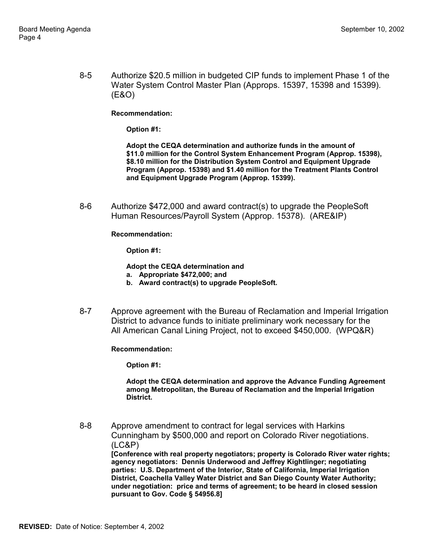8-5 Authorize \$20.5 million in budgeted CIP funds to implement Phase 1 of the Water System Control Master Plan (Approps. 15397, 15398 and 15399). (E&O)

**Recommendation:**

**Option #1:**

**Adopt the CEQA determination and authorize funds in the amount of \$11.0 million for the Control System Enhancement Program (Approp. 15398), \$8.10 million for the Distribution System Control and Equipment Upgrade Program (Approp. 15398) and \$1.40 million for the Treatment Plants Control and Equipment Upgrade Program (Approp. 15399).**

8-6 Authorize \$472,000 and award contract(s) to upgrade the PeopleSoft Human Resources/Payroll System (Approp. 15378). (ARE&IP)

**Recommendation:**

**Option #1:**

**Adopt the CEQA determination and**

- **a. Appropriate \$472,000; and**
- **b. Award contract(s) to upgrade PeopleSoft.**
- 8-7 Approve agreement with the Bureau of Reclamation and Imperial Irrigation District to advance funds to initiate preliminary work necessary for the All American Canal Lining Project, not to exceed \$450,000. (WPQ&R)

**Recommendation:**

**Option #1:**

**Adopt the CEQA determination and approve the Advance Funding Agreement among Metropolitan, the Bureau of Reclamation and the Imperial Irrigation District.**

8-8 Approve amendment to contract for legal services with Harkins Cunningham by \$500,000 and report on Colorado River negotiations. (LC&P) **[Conference with real property negotiators; property is Colorado River water rights; agency negotiators: Dennis Underwood and Jeffrey Kightlinger; negotiating parties: U.S. Department of the Interior, State of California, Imperial Irrigation District, Coachella Valley Water District and San Diego County Water Authority;**

**under negotiation: price and terms of agreement; to be heard in closed session pursuant to Gov. Code ß 54956.8]**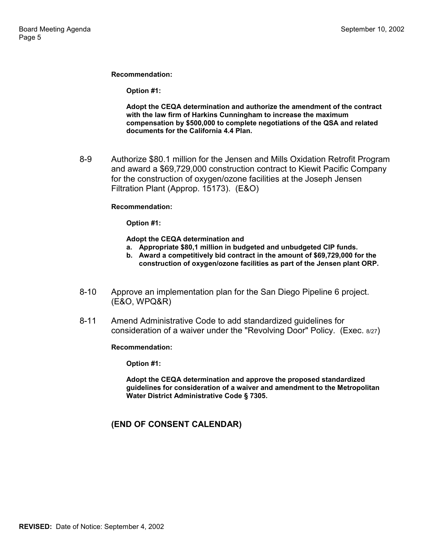**Recommendation:**

**Option #1:**

**Adopt the CEQA determination and authorize the amendment of the contract with the law firm of Harkins Cunningham to increase the maximum compensation by \$500,000 to complete negotiations of the QSA and related documents for the California 4.4 Plan.**

8-9 Authorize \$80.1 million for the Jensen and Mills Oxidation Retrofit Program and award a \$69,729,000 construction contract to Kiewit Pacific Company for the construction of oxygen/ozone facilities at the Joseph Jensen Filtration Plant (Approp. 15173). (E&O)

#### **Recommendation:**

**Option #1:**

**Adopt the CEQA determination and**

- **a. Appropriate \$80,1 million in budgeted and unbudgeted CIP funds.**
- **b. Award a competitively bid contract in the amount of \$69,729,000 for the construction of oxygen/ozone facilities as part of the Jensen plant ORP.**
- 8-10 Approve an implementation plan for the San Diego Pipeline 6 project. (E&O, WPQ&R)
- 8-11 Amend Administrative Code to add standardized guidelines for consideration of a waiver under the "Revolving Door" Policy. (Exec. 8/27)

**Recommendation:**

**Option #1:**

**Adopt the CEQA determination and approve the proposed standardized guidelines for consideration of a waiver and amendment to the Metropolitan Water District Administrative Code ß 7305.**

### **(END OF CONSENT CALENDAR)**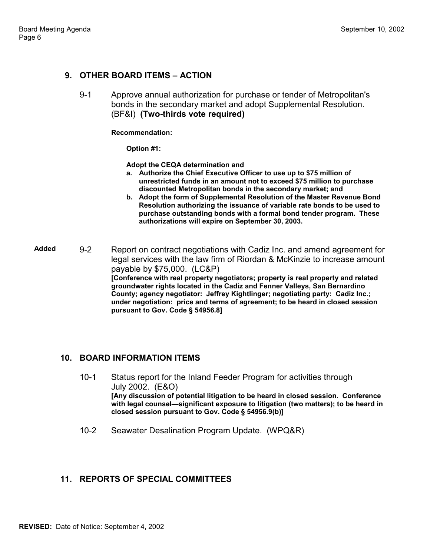## **9. OTHER BOARD ITEMS - ACTION**

9-1 Approve annual authorization for purchase or tender of Metropolitan's bonds in the secondary market and adopt Supplemental Resolution. (BF&I) **(Two-thirds vote required)**

**Recommendation:**

**Option #1:**

**Adopt the CEQA determination and**

- **a. Authorize the Chief Executive Officer to use up to \$75 million of unrestricted funds in an amount not to exceed \$75 million to purchase discounted Metropolitan bonds in the secondary market; and**
- **b. Adopt the form of Supplemental Resolution of the Master Revenue Bond Resolution authorizing the issuance of variable rate bonds to be used to purchase outstanding bonds with a formal bond tender program. These authorizations will expire on September 30, 2003.**

**Added** 9-2 Report on contract negotiations with Cadiz Inc. and amend agreement for legal services with the law firm of Riordan & McKinzie to increase amount payable by \$75,000. (LC&P) **[Conference with real property negotiators; property is real property and related groundwater rights located in the Cadiz and Fenner Valleys, San Bernardino County; agency negotiator: Jeffrey Kightlinger; negotiating party: Cadiz Inc.; under negotiation: price and terms of agreement; to be heard in closed session pursuant to Gov. Code ß 54956.8]**

## **10. BOARD INFORMATION ITEMS**

- 10-1 Status report for the Inland Feeder Program for activities through July 2002. (E&O) **[Any discussion of potential litigation to be heard in closed session. Conference** with legal counsel—significant exposure to litigation (two matters); to be heard in **closed session pursuant to Gov. Code ß 54956.9(b)]**
- 10-2 Seawater Desalination Program Update. (WPQ&R)

## **11. REPORTS OF SPECIAL COMMITTEES**